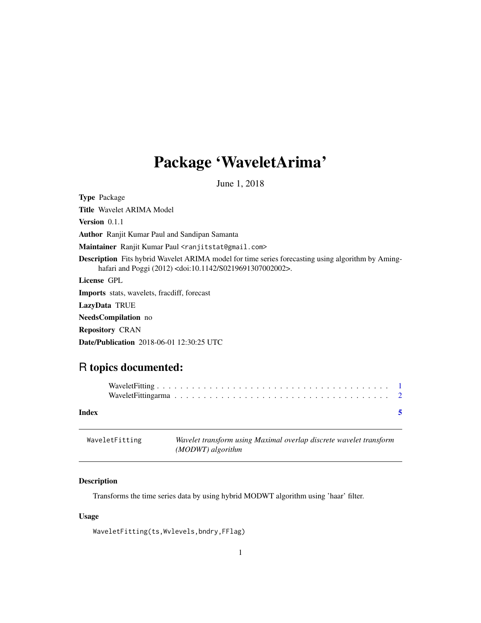## <span id="page-0-0"></span>Package 'WaveletArima'

June 1, 2018

Type Package Title Wavelet ARIMA Model Version 0.1.1 Author Ranjit Kumar Paul and Sandipan Samanta Maintainer Ranjit Kumar Paul <ranjitstat@gmail.com> Description Fits hybrid Wavelet ARIMA model for time series forecasting using algorithm by Aminghafari and Poggi (2012) <doi:10.1142/S0219691307002002>. License GPL Imports stats, wavelets, fracdiff, forecast LazyData TRUE NeedsCompilation no Repository CRAN Date/Publication 2018-06-01 12:30:25 UTC

### R topics documented:

| Index |  |  |  |  |  |  |  |  |  |  |  |  |  |  |  | $\sim$ |
|-------|--|--|--|--|--|--|--|--|--|--|--|--|--|--|--|--------|

| WaveletFitting | Wavelet transform using Maximal overlap discrete wavelet transform |
|----------------|--------------------------------------------------------------------|
|                | (MODWT) algorithm                                                  |

#### Description

Transforms the time series data by using hybrid MODWT algorithm using 'haar' filter.

#### Usage

WaveletFitting(ts,Wvlevels,bndry,FFlag)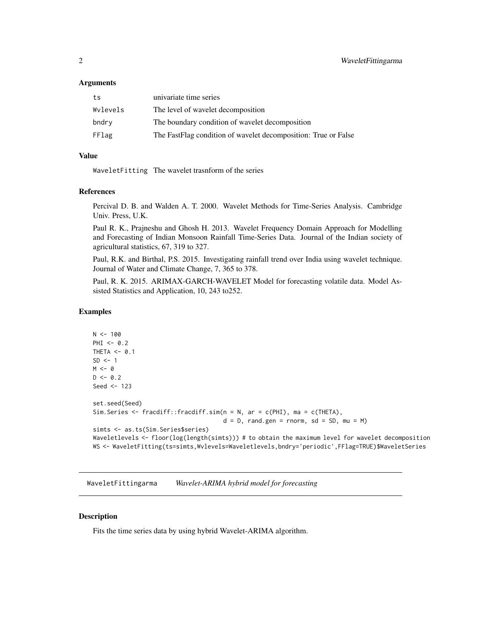#### <span id="page-1-0"></span>Arguments

| ts       | univariate time series                                         |
|----------|----------------------------------------------------------------|
| Wylevels | The level of wavelet decomposition                             |
| bndry    | The boundary condition of wavelet decomposition                |
| FFlag    | The FastFlag condition of wavelet decomposition: True or False |

#### Value

WaveletFitting The wavelet trasnform of the series

#### References

Percival D. B. and Walden A. T. 2000. Wavelet Methods for Time-Series Analysis. Cambridge Univ. Press, U.K.

Paul R. K., Prajneshu and Ghosh H. 2013. Wavelet Frequency Domain Approach for Modelling and Forecasting of Indian Monsoon Rainfall Time-Series Data. Journal of the Indian society of agricultural statistics, 67, 319 to 327.

Paul, R.K. and Birthal, P.S. 2015. Investigating rainfall trend over India using wavelet technique. Journal of Water and Climate Change, 7, 365 to 378.

Paul, R. K. 2015. ARIMAX-GARCH-WAVELET Model for forecasting volatile data. Model Assisted Statistics and Application, 10, 243 to252.

#### Examples

```
N < - 100PHI < -0.2THETA <- 0.1
SD < -1M < - \varnothingD \le -0.2Seed <- 123
set.seed(Seed)
Sim.Series <- fracdiff::fracdiff.sim(n = N, ar = c(PHI), ma = c(THETA),
                                      d = D, rand.gen = rnorm, sd = SD, mu = M)
simts <- as.ts(Sim.Series$series)
Waveletlevels <- floor(log(length(simts))) # to obtain the maximum level for wavelet decomposition
WS <- WaveletFitting(ts=simts,Wvlevels=Waveletlevels,bndry='periodic',FFlag=TRUE)$WaveletSeries
```
WaveletFittingarma *Wavelet-ARIMA hybrid model for forecasting*

#### Description

Fits the time series data by using hybrid Wavelet-ARIMA algorithm.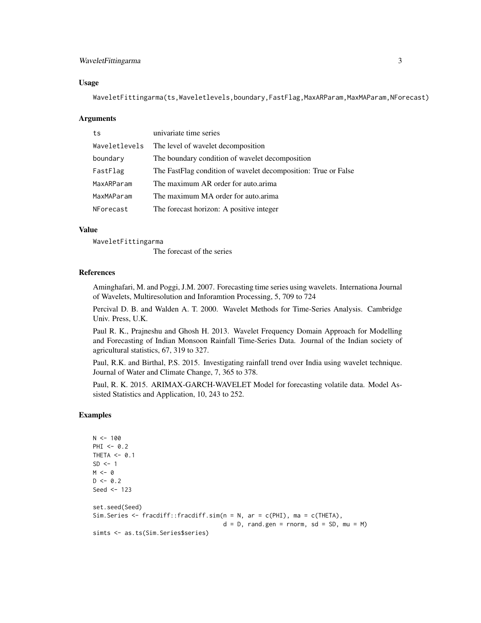#### WaveletFittingarma 3

#### Usage

WaveletFittingarma(ts,Waveletlevels,boundary,FastFlag,MaxARParam,MaxMAParam,NForecast)

#### Arguments

| ts            | univariate time series                                         |
|---------------|----------------------------------------------------------------|
| Waveletlevels | The level of wavelet decomposition                             |
| boundary      | The boundary condition of wavelet decomposition                |
| FastFlag      | The FastFlag condition of wavelet decomposition: True or False |
| MaxARParam    | The maximum AR order for auto arima                            |
| MaxMAParam    | The maximum MA order for auto arima                            |
| NForecast     | The forecast horizon: A positive integer                       |

#### Value

WaveletFittingarma

The forecast of the series

#### References

Aminghafari, M. and Poggi, J.M. 2007. Forecasting time series using wavelets. Internationa Journal of Wavelets, Multiresolution and Inforamtion Processing, 5, 709 to 724

Percival D. B. and Walden A. T. 2000. Wavelet Methods for Time-Series Analysis. Cambridge Univ. Press, U.K.

Paul R. K., Prajneshu and Ghosh H. 2013. Wavelet Frequency Domain Approach for Modelling and Forecasting of Indian Monsoon Rainfall Time-Series Data. Journal of the Indian society of agricultural statistics, 67, 319 to 327.

Paul, R.K. and Birthal, P.S. 2015. Investigating rainfall trend over India using wavelet technique. Journal of Water and Climate Change, 7, 365 to 378.

Paul, R. K. 2015. ARIMAX-GARCH-WAVELET Model for forecasting volatile data. Model Assisted Statistics and Application, 10, 243 to 252.

#### Examples

```
N < - 100PHI <-0.2THETA <- 0.1
SD < -1M < - \thetaD \le -0.2Seed <- 123
set.seed(Seed)
Sim.Series <- fracdiff::fracdiff.sim(n = N, ar = c(PHI), ma = c(THETA),
                                      d = D, rand.gen = rnorm, sd = SD, mu = M)
simts <- as.ts(Sim.Series$series)
```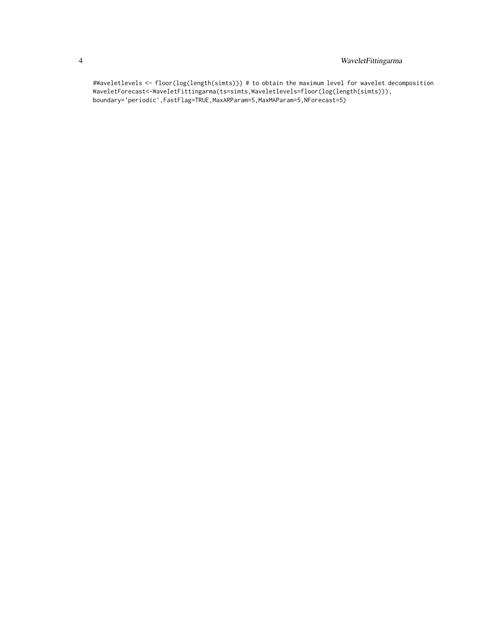#### 4 WaveletFittingarma

#Waveletlevels <- floor(log(length(simts))) # to obtain the maximum level for wavelet decomposition WaveletForecast<-WaveletFittingarma(ts=simts,Waveletlevels=floor(log(length(simts))), boundary='periodic',FastFlag=TRUE,MaxARParam=5,MaxMAParam=5,NForecast=5)